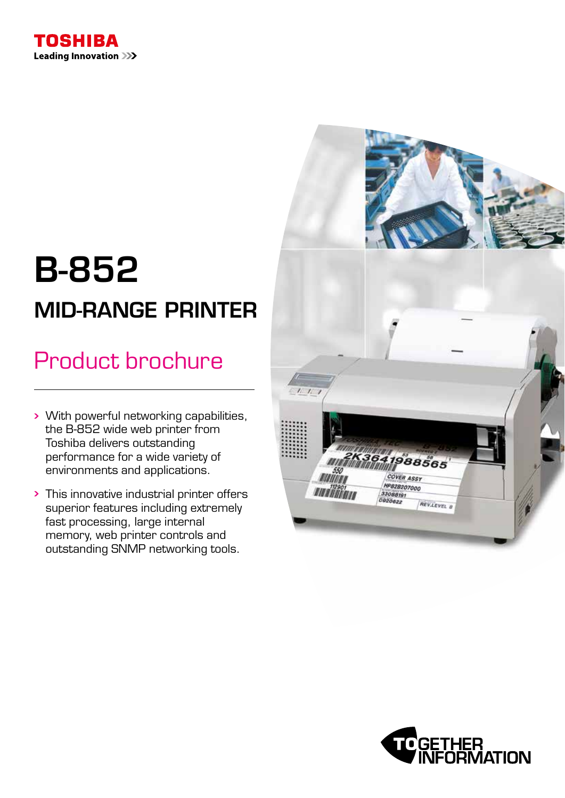

# B-852 MID-RANGE PRINTER

# Product brochure

- With powerful networking capabilities, the B-852 wide web printer from Toshiba delivers outstanding performance for a wide variety of environments and applications.
- This innovative industrial printer offers superior features including extremely fast processing, large internal memory, web printer controls and outstanding SNMP networking tools.



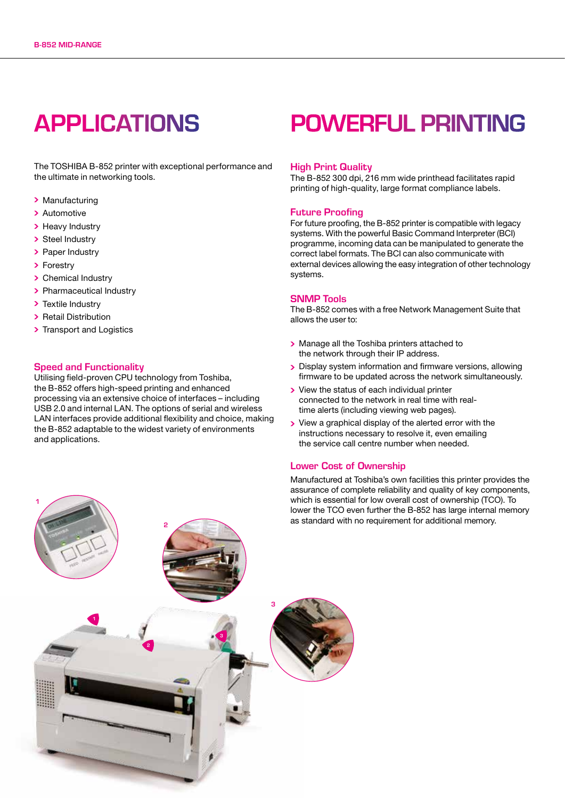### APPLICATIONS

The TOSHIBA B-852 printer with exceptional performance and the ultimate in networking tools.

- > Manufacturing
- > Automotive
- > Heavy Industry
- > Steel Industry
- > Paper Industry
- > Forestry
- > Chemical Industry
- > Pharmaceutical Industry
- > Textile Industry
- Retail Distribution
- > Transport and Logistics

### Speed and Functionality

Utilising field-proven CPU technology from Toshiba, the B-852 offers high-speed printing and enhanced processing via an extensive choice of interfaces – including USB 2.0 and internal LAN. The options of serial and wireless LAN interfaces provide additional flexibility and choice, making the B-852 adaptable to the widest variety of environments and applications.

### POWERFUL PRINTING

#### High Print Quality

The B-852 300 dpi, 216 mm wide printhead facilitates rapid printing of high-quality, large format compliance labels.

### Future Proofing

For future proofing, the B-852 printer is compatible with legacy systems. With the powerful Basic Command Interpreter (BCI) programme, incoming data can be manipulated to generate the correct label formats. The BCI can also communicate with external devices allowing the easy integration of other technology systems.

### SNMP Tools

The B-852 comes with a free Network Management Suite that allows the user to:

- > Manage all the Toshiba printers attached to the network through their IP address.
- Display system information and firmware versions, allowing firmware to be updated across the network simultaneously.
- > View the status of each individual printer connected to the network in real time with realtime alerts (including viewing web pages).
- View a graphical display of the alerted error with the instructions necessary to resolve it, even emailing the service call centre number when needed.

### Lower Cost of Ownership

Manufactured at Toshiba's own facilities this printer provides the assurance of complete reliability and quality of key components, which is essential for low overall cost of ownership (TCO). To lower the TCO even further the B-852 has large internal memory as standard with no requirement for additional memory.

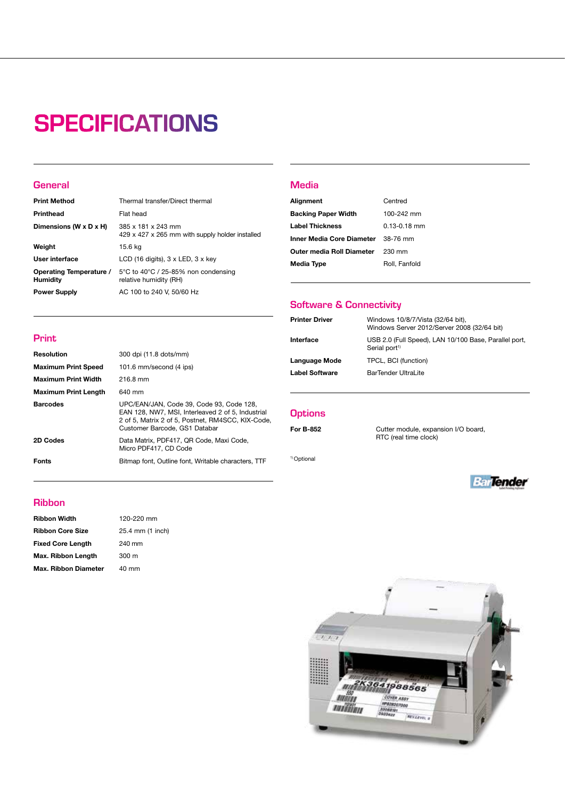## **SPECIFICATIONS**

### **General**

Print

| <b>Print Method</b>                        | Thermal transfer/Direct thermal                                       |
|--------------------------------------------|-----------------------------------------------------------------------|
| Printhead                                  | Flat head                                                             |
| Dimensions (W x D x H)                     | 385 x 181 x 243 mm<br>429 x 427 x 265 mm with supply holder installed |
| Weight                                     | 15.6 kg                                                               |
| User interface                             | LCD (16 digits), $3 \times$ LED, $3 \times$ key                       |
| Operating Temperature /<br><b>Humidity</b> | 5°C to 40°C / 25-85% non condensing<br>relative humidity (RH)         |
| <b>Power Supply</b>                        | AC 100 to 240 V, 50/60 Hz                                             |

Barcodes UPC/EAN/JAN, Code 39, Code 93, Code 128,

2D Codes Data Matrix, PDF417, QR Code, Maxi Code, Micro PDF417, CD Code Fonts **Bitmap font, Outline font, Writable characters, TTF** 

Customer Barcode, GS1 Databar

EAN 128, NW7, MSI, Interleaved 2 of 5, Industrial 2 of 5, Matrix 2 of 5, Postnet, RM4SCC, KIX-Code,

### **Media**

| Alignment                                 | Centred          |
|-------------------------------------------|------------------|
| <b>Backing Paper Width</b>                | $100 - 242$ mm   |
| <b>Label Thickness</b>                    | $0.13 - 0.18$ mm |
| <b>Inner Media Core Diameter</b> 38-76 mm |                  |
| Outer media Roll Diameter                 | 230 mm           |
| <b>Media Type</b>                         | Roll, Fanfold    |

### Software & Connectivity

| <b>Printer Driver</b> | Windows 10/8/7/Vista (32/64 bit),<br>Windows Server 2012/Server 2008 (32/64 bit)   |
|-----------------------|------------------------------------------------------------------------------------|
| Interface             | USB 2.0 (Full Speed), LAN 10/100 Base, Parallel port,<br>Serial port <sup>1)</sup> |
| Language Mode         | TPCL, BCI (function)                                                               |
| <b>Label Software</b> | BarTender UltraLite                                                                |

### **Options**

1) Optional

For B-852 Cutter module, expansion I/O board, RTC (real time clock)



### Ribbon

| <b>Ribbon Width</b>         | 120-220 mm       |
|-----------------------------|------------------|
| <b>Ribbon Core Size</b>     | 25.4 mm (1 inch) |
| <b>Fixed Core Length</b>    | 240 mm           |
| Max. Ribbon Length          | 300 <sub>m</sub> |
| <b>Max. Ribbon Diameter</b> | 40 mm            |
|                             |                  |

Resolution 300 dpi (11.8 dots/mm) Maximum Print Speed 101.6 mm/second (4 ips)

Maximum Print Width 216.8 mm Maximum Print Length 640 mm